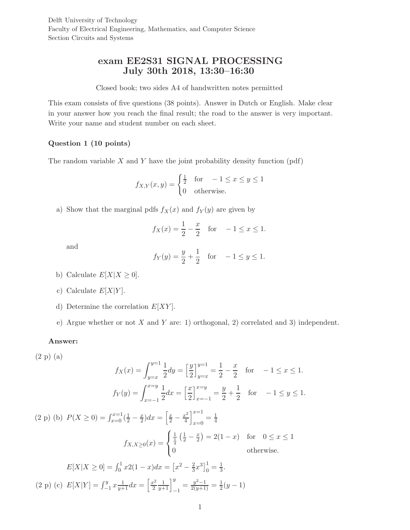Delft University of Technology Faculty of Electrical Engineering, Mathematics, and Computer Science Section Circuits and Systems

# exam EE2S31 SIGNAL PROCESSING July 30th 2018, 13:30–16:30

### Closed book; two sides A4 of handwritten notes permitted

This exam consists of five questions (38 points). Answer in Dutch or English. Make clear in your answer how you reach the final result; the road to the answer is very important. Write your name and student number on each sheet.

# Question 1 (10 points)

The random variable  $X$  and  $Y$  have the joint probability density function (pdf)

$$
f_{X,Y}(x,y) = \begin{cases} \frac{1}{2} & \text{for } -1 \le x \le y \le 1\\ 0 & \text{otherwise.} \end{cases}
$$

a) Show that the marginal pdfs  $f_X(x)$  and  $f_Y(y)$  are given by

$$
f_X(x) = \frac{1}{2} - \frac{x}{2}
$$
 for  $-1 \le x \le 1$ .

and

$$
f_Y(y) = \frac{y}{2} + \frac{1}{2}
$$
 for  $-1 \le y \le 1$ .

- b) Calculate  $E[X|X \geq 0]$ .
- c) Calculate  $E[X|Y]$ .
- d) Determine the correlation  $E[XY]$ .
- e) Argue whether or not X and Y are: 1) orthogonal, 2) correlated and 3) independent.

## Answer:

$$
(2 p) (a)
$$

$$
f_X(x) = \int_{y=x}^{y=1} \frac{1}{2} dy = \left[\frac{y}{2}\right]_{y=x}^{y=1} = \frac{1}{2} - \frac{x}{2} \quad \text{for} \quad -1 \le x \le 1.
$$

$$
f_Y(y) = \int_{x=-1}^{x=y} \frac{1}{2} dx = \left[\frac{x}{2}\right]_{x=-1}^{x=y} = \frac{y}{2} + \frac{1}{2} \quad \text{for} \quad -1 \le y \le 1.
$$

(2 p) (b)  $P(X \ge 0) = \int_{x=0}^{x=1} (\frac{1}{2} - \frac{x}{2}) dx = \left[ \frac{x}{2} - \frac{x^2}{4} \right]$  $\left[\frac{x^2}{4}\right]_{x=0}^{x=1}$  $\frac{x-1}{x=0} = \frac{1}{4}$  $f_{X,X\geq 0}(x) =$  $\sqrt{ }$  $\left\vert \right\vert$  $\mathcal{L}$  $\frac{1}{\frac{1}{4}}\left(\frac{1}{2}-\frac{x}{2}\right)$  $(\frac{x}{2}) = 2(1-x)$  for  $0 \le x \le 1$ 0 otherwise.

$$
E[X|X \ge 0] = \int_0^1 x2(1-x)dx = \left[x^2 - \frac{2}{3}x^3\right]_0^1 = \frac{1}{3}.
$$
  
(2 p) (c)  $E[X|Y] = \int_{-1}^y x \frac{1}{y+1} dx = \left[\frac{x^2}{2} \frac{1}{y+1}\right]_{-1}^y = \frac{y^2 - 1}{2(y+1)} = \frac{1}{2}(y-1)$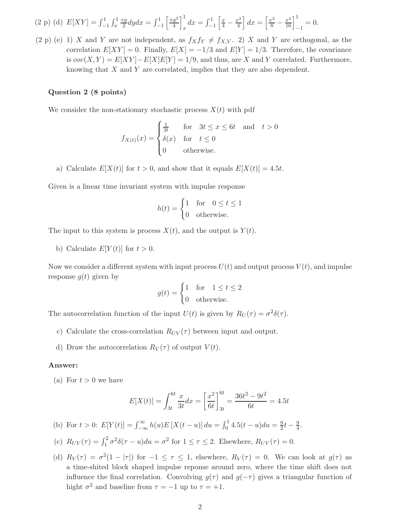$$
(2 \text{ p}) \text{ (d)} \ E[XY] = \int_{-1}^{1} \int_{x}^{1} \frac{xy}{2} dy dx = \int_{-1}^{1} \left[ \frac{xy^{2}}{4} \right]_{x}^{1} dx = \int_{-1}^{1} \left[ \frac{x}{4} - \frac{x^{3}}{4} \right] dx = \left[ \frac{x^{2}}{8} - \frac{x^{4}}{16} \right]_{-1}^{1} = 0.
$$

(2 p) (e) 1) X and Y are not independent, as  $f_Xf_Y \neq f_{X,Y}$ . 2) X and Y are orthogonal, as the correlation  $E[XY] = 0$ . Finally,  $E[X] = -1/3$  and  $E[Y] = 1/3$ . Therefore, the covariance is  $cov(X, Y) = E[XY] - E[X]E[Y] = 1/9$ , and thus, are X and Y correlated. Furthermore, knowing that X and Y are correlated, implies that they are also dependent.

## Question 2 (8 points)

We consider the non-stationary stochastic process  $X(t)$  with pdf

$$
f_{X(t)}(x) = \begin{cases} \frac{1}{3t} & \text{for} \quad 3t \le x \le 6t \quad \text{and} \quad t > 0\\ \delta(x) & \text{for} \quad t \le 0\\ 0 & \text{otherwise.} \end{cases}
$$

a) Calculate  $E[X(t)]$  for  $t > 0$ , and show that it equals  $E[X(t)] = 4.5t$ .

Given is a linear time invariant system with impulse response

$$
h(t) = \begin{cases} 1 & \text{for} \quad 0 \le t \le 1 \\ 0 & \text{otherwise.} \end{cases}
$$

The input to this system is process  $X(t)$ , and the output is  $Y(t)$ .

b) Calculate  $E[Y(t)]$  for  $t > 0$ .

Now we consider a different system with input process  $U(t)$  and output process  $V(t)$ , and impulse response  $q(t)$  given by

$$
g(t) = \begin{cases} 1 & \text{for} \quad 1 \le t \le 2 \\ 0 & \text{otherwise.} \end{cases}
$$

The autocorrelation function of the input  $U(t)$  is given by  $R_U(\tau) = \sigma^2 \delta(\tau)$ .

- c) Calculate the cross-correlation  $R_{UV}(\tau)$  between input and output.
- d) Draw the autocorrelation  $R_V(\tau)$  of output  $V(t)$ .

#### Answer:

(a) For  $t > 0$  we have

$$
E[X(t)] = \int_{3t}^{6t} \frac{x}{3t} dx = \left[\frac{x^2}{6t}\right]_{3t}^{6t} = \frac{36t^2 - 9t^2}{6t} = 4.5t
$$

- (b) For  $t > 0$ :  $E[Y(t)] = \int_{-\infty}^{\infty} h(u)E[X(t-u)] du = \int_{0}^{1} 4.5(t-u) du = \frac{9}{2}t \frac{9}{4}$ .
- (c)  $R_{UV}(\tau) = \int_1^2 \sigma^2 \delta(\tau u) du = \sigma^2$  for  $1 \le \tau \le 2$ . Elsewhere,  $R_{UV}(\tau) = 0$ .
- (d)  $R_V(\tau) = \sigma^2(1 |\tau|)$  for  $-1 \leq \tau \leq 1$ , elsewhere,  $R_V(\tau) = 0$ . We can look at  $g(\tau)$  as a time-shited block shaped impulse reponse around zero, where the time shift does not influence the final correlation. Convolving  $g(\tau)$  and  $g(-\tau)$  gives a triangular function of hight  $\sigma^2$  and baseline from  $\tau = -1$  up to  $\tau = +1$ .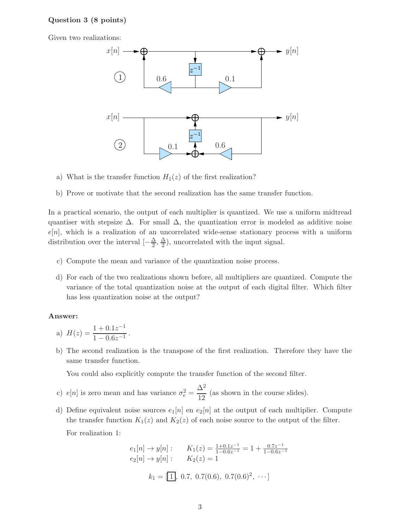# Question 3 (8 points)

Given two realizations:



- a) What is the transfer function  $H_1(z)$  of the first realization?
- b) Prove or motivate that the second realization has the same transfer function.

In a practical scenario, the output of each multiplier is quantized. We use a uniform midtread quantiser with stepsize  $\Delta$ . For small  $\Delta$ , the quantization error is modeled as additive noise  $e[n]$ , which is a realization of an uncorrelated wide-sense stationary process with a uniform distribution over the interval  $\left[-\frac{\Delta}{2}\right]$  $\frac{\Delta}{2}, \frac{\Delta}{2}$  $\frac{\Delta}{2}$ ), uncorrelated with the input signal.

- c) Compute the mean and variance of the quantization noise process.
- d) For each of the two realizations shown before, all multipliers are quantized. Compute the variance of the total quantization noise at the output of each digital filter. Which filter has less quantization noise at the output?

## Answer:

a) 
$$
H(z) = \frac{1 + 0.1z^{-1}}{1 - 0.6z^{-1}}
$$
.

b) The second realization is the transpose of the first realization. Therefore they have the same transfer function.

You could also explicitly compute the transfer function of the second filter.

- c)  $e[n]$  is zero mean and has variance  $\sigma_e^2 =$  $\Delta^2$  $\frac{1}{12}$  (as shown in the course slides).
- d) Define equivalent noise sources  $e_1[n]$  en  $e_2[n]$  at the output of each multiplier. Compute the transfer function  $K_1(z)$  and  $K_2(z)$  of each noise source to the output of the filter. For realization 1:

$$
e_1[n] \to y[n]: \qquad K_1(z) = \frac{1+0.1z^{-1}}{1-0.6z^{-1}} = 1 + \frac{0.7z^{-1}}{1-0.6z^{-1}}
$$
  

$$
e_2[n] \to y[n]: \qquad K_2(z) = 1
$$
  

$$
k_1 = [1], 0.7, 0.7(0.6), 0.7(0.6)^2, \cdots]
$$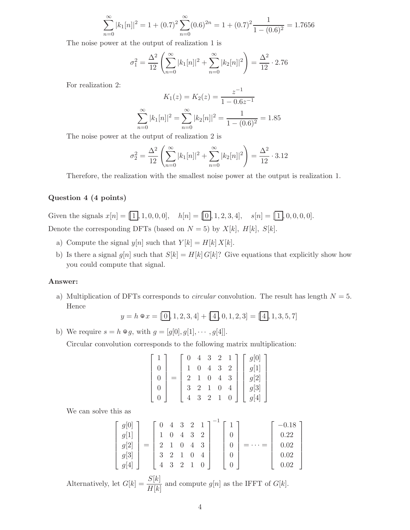$$
\sum_{n=0}^{\infty} |k_1[n]|^2 = 1 + (0.7)^2 \sum_{n=0}^{\infty} (0.6)^{2n} = 1 + (0.7)^2 \frac{1}{1 - (0.6)^2} = 1.7656
$$

The noise power at the output of realization 1 is

$$
\sigma_1^2 = \frac{\Delta^2}{12} \left( \sum_{n=0}^{\infty} |k_1[n]|^2 + \sum_{n=0}^{\infty} |k_2[n]|^2 \right) = \frac{\Delta^2}{12} \cdot 2.76
$$

For realization 2:

$$
K_1(z) = K_2(z) = \frac{z^{-1}}{1 - 0.6z^{-1}}
$$

$$
\sum_{n=0}^{\infty} |k_1[n]|^2 = \sum_{n=0}^{\infty} |k_2[n]|^2 = \frac{1}{1 - (0.6)^2} = 1.85
$$

The noise power at the output of realization 2 is

$$
\sigma_2^2 = \frac{\Delta^2}{12} \left( \sum_{n=0}^{\infty} |k_1[n]|^2 + \sum_{n=0}^{\infty} |k_2[n]|^2 \right) = \frac{\Delta^2}{12} \cdot 3.12
$$

Therefore, the realization with the smallest noise power at the output is realization 1.

# Question 4 (4 points)

Given the signals  $x[n] = [\overline{1}], 1, 0, 0, 0], \quad h[n] = [\overline{0}], 1, 2, 3, 4], \quad s[n] = [\overline{1}], 0, 0, 0, 0].$ Denote the corresponding DFTs (based on  $N = 5$ ) by  $X[k]$ ,  $H[k]$ ,  $S[k]$ .

- a) Compute the signal  $y[n]$  such that  $Y[k] = H[k] X[k]$ .
- b) Is there a signal  $g[n]$  such that  $S[k] = H[k] G[k]$ ? Give equations that explicitly show how you could compute that signal.

### Answer:

a) Multiplication of DFTs corresponds to *circular* convolution. The result has length  $N = 5$ . Hence

$$
y = h \circ x = [0, 1, 2, 3, 4] + [4, 0, 1, 2, 3] = [4, 1, 3, 5, 7]
$$

b) We require  $s = h \otimes g$ , with  $g = [g[0], g[1], \dots, g[4]]$ .

Circular convolution corresponds to the following matrix multiplication:

$$
\begin{bmatrix} 1 \\ 0 \\ 0 \\ 0 \\ 0 \end{bmatrix} = \begin{bmatrix} 0 & 4 & 3 & 2 & 1 \\ 1 & 0 & 4 & 3 & 2 \\ 2 & 1 & 0 & 4 & 3 \\ 3 & 2 & 1 & 0 & 4 \\ 4 & 3 & 2 & 1 & 0 \end{bmatrix} \begin{bmatrix} g[0] \\ g[1] \\ g[2] \\ g[3] \\ g[4] \end{bmatrix}
$$

We can solve this as

$$
\begin{bmatrix} g[0] \\ g[1] \\ g[2] \\ g[3] \\ g[4] \end{bmatrix} = \begin{bmatrix} 0 & 4 & 3 & 2 & 1 \\ 1 & 0 & 4 & 3 & 2 \\ 2 & 1 & 0 & 4 & 3 \\ 3 & 2 & 1 & 0 & 4 \\ 4 & 3 & 2 & 1 & 0 \end{bmatrix}^{-1} \begin{bmatrix} 1 \\ 0 \\ 0 \\ 0 \\ 0 \end{bmatrix} = \dots = \begin{bmatrix} -0.18 \\ 0.22 \\ 0.02 \\ 0.02 \\ 0.02 \end{bmatrix}
$$

Alternatively, let  $G[k] = \frac{S[k]}{H[k]}$  and compute  $g[n]$  as the IFFT of  $G[k]$ .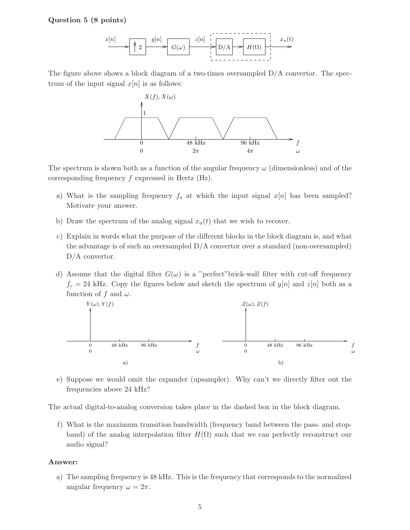## Question 5 (8 points)



The figure above shows a block diagram of a two-times oversampled  $D/A$  convertor. The spectrum of the input signal  $x[n]$  is as follows:



The spectrum is shown both as a function of the angular frequency  $\omega$  (dimensionless) and of the corresponding frequency f expressed in Hertz (Hz).

- a) What is the sampling frequency  $f_s$  at which the input signal  $x[n]$  has been sampled? Motivate your answer.
- b) Draw the spectrum of the analog signal  $x_a(t)$  that we wish to recover.
- c) Explain in words what the purpose of the different blocks in the block diagram is, and what the advantage is of such an oversampled D/A convertor over a standard (non-oversampled) D/A convertor.
- d) Assume that the digital filter  $G(\omega)$  is a "perfect" brick-wall filter with cut-off frequency  $f_c = 24$  kHz. Copy the figures below and sketch the spectrum of  $y[n]$  and  $z[n]$  both as a function of f and  $\omega$ .



e) Suppose we would omit the expander (upsampler). Why can't we directly filter out the frequencies above 24 kHz?

The actual digital-to-analog conversion takes place in the dashed box in the block diagram.

f) What is the maximum transition bandwidth (frequency band between the pass- and stopband) of the analog interpolation filter  $H(\Omega)$  such that we can perfectly reconstruct our audio signal?

#### Answer:

a) The sampling frequency is 48 kHz. This is the frequency that corresponds to the normalized angular frequency  $\omega = 2\pi$ .